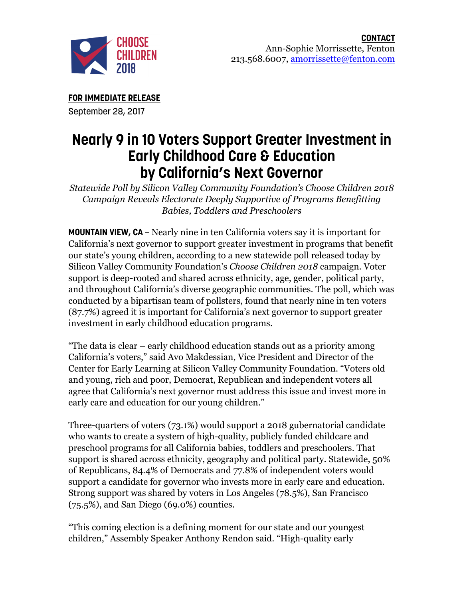

**FOR IMMEDIATE RELEASE** September 28, 2017

## **Nearly 9 in 10 Voters Support Greater Investment in Early Childhood Care & Education by California's Next Governor**

*Statewide Poll by Silicon Valley Community Foundation's Choose Children 2018 Campaign Reveals Electorate Deeply Supportive of Programs Benefitting Babies, Toddlers and Preschoolers*

**MOUNTAIN VIEW, CA –** Nearly nine in ten California voters say it is important for California's next governor to support greater investment in programs that benefit our state's young children, according to a new statewide poll released today by Silicon Valley Community Foundation's *Choose Children 2018* campaign. Voter support is deep-rooted and shared across ethnicity, age, gender, political party, and throughout California's diverse geographic communities. The poll, which was conducted by a bipartisan team of pollsters, found that nearly nine in ten voters (87.7%) agreed it is important for California's next governor to support greater investment in early childhood education programs.

"The data is clear – early childhood education stands out as a priority among California's voters," said Avo Makdessian, Vice President and Director of the Center for Early Learning at Silicon Valley Community Foundation. "Voters old and young, rich and poor, Democrat, Republican and independent voters all agree that California's next governor must address this issue and invest more in early care and education for our young children."

Three-quarters of voters (73.1%) would support a 2018 gubernatorial candidate who wants to create a system of high-quality, publicly funded childcare and preschool programs for all California babies, toddlers and preschoolers. That support is shared across ethnicity, geography and political party. Statewide, 50% of Republicans, 84.4% of Democrats and 77.8% of independent voters would support a candidate for governor who invests more in early care and education. Strong support was shared by voters in Los Angeles (78.5%), San Francisco (75.5%), and San Diego (69.0%) counties.

"This coming election is a defining moment for our state and our youngest children," Assembly Speaker Anthony Rendon said. "High-quality early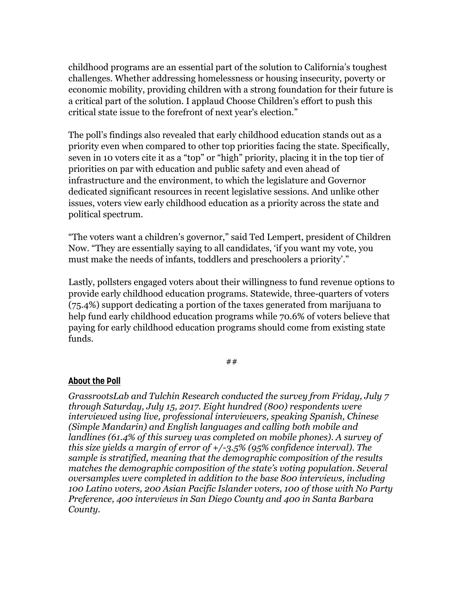childhood programs are an essential part of the solution to California's toughest challenges. Whether addressing homelessness or housing insecurity, poverty or economic mobility, providing children with a strong foundation for their future is a critical part of the solution. I applaud Choose Children's effort to push this critical state issue to the forefront of next year's election."

The poll's findings also revealed that early childhood education stands out as a priority even when compared to other top priorities facing the state. Specifically, seven in 10 voters cite it as a "top" or "high" priority, placing it in the top tier of priorities on par with education and public safety and even ahead of infrastructure and the environment, to which the legislature and Governor dedicated significant resources in recent legislative sessions. And unlike other issues, voters view early childhood education as a priority across the state and political spectrum.

"The voters want a children's governor," said Ted Lempert, president of Children Now. "They are essentially saying to all candidates, 'if you want my vote, you must make the needs of infants, toddlers and preschoolers a priority'."

Lastly, pollsters engaged voters about their willingness to fund revenue options to provide early childhood education programs. Statewide, three-quarters of voters (75.4%) support dedicating a portion of the taxes generated from marijuana to help fund early childhood education programs while 70.6% of voters believe that paying for early childhood education programs should come from existing state funds.

##

## **About the Poll**

*GrassrootsLab and Tulchin Research conducted the survey from Friday, July 7 through Saturday, July 15, 2017. Eight hundred (800) respondents were interviewed using live, professional interviewers, speaking Spanish, Chinese (Simple Mandarin) and English languages and calling both mobile and landlines (61.4% of this survey was completed on mobile phones). A survey of this size yields a margin of error of +/-3.5% (95% confidence interval). The sample is stratified, meaning that the demographic composition of the results matches the demographic composition of the state's voting population. Several oversamples were completed in addition to the base 800 interviews, including 100 Latino voters, 200 Asian Pacific Islander voters, 100 of those with No Party Preference, 400 interviews in San Diego County and 400 in Santa Barbara County.*